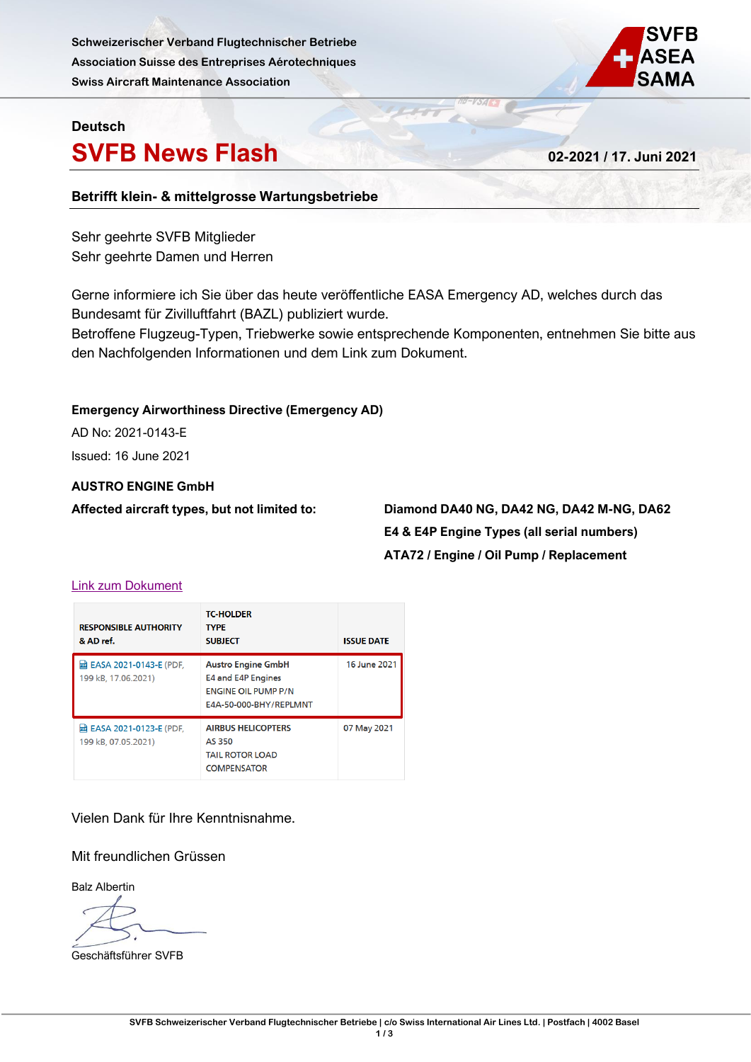**Schweizerischer Verband Flugtechnischer Betriebe Association Suisse des Entreprises Aérotechniques Swiss Aircraft Maintenance Association**



# **Deutsch**

# **SVFB News Flash 02-2021 / 17. Juni 2021**

# **Betrifft klein- & mittelgrosse Wartungsbetriebe**

Sehr geehrte SVFB Mitglieder Sehr geehrte Damen und Herren

Gerne informiere ich Sie über das heute veröffentliche EASA Emergency AD, welches durch das Bundesamt für Zivilluftfahrt (BAZL) publiziert wurde.

Betroffene Flugzeug-Typen, Triebwerke sowie entsprechende Komponenten, entnehmen Sie bitte aus den Nachfolgenden Informationen und dem Link zum Dokument.

#### **Emergency Airworthiness Directive (Emergency AD)**

AD No: 2021-0143-E Issued: 16 June 2021

### **AUSTRO ENGINE GmbH**

**Affected aircraft types, but not limited to: Diamond DA40 NG, DA42 NG, DA42 M-NG, DA62 E4 & E4P Engine Types (all serial numbers) ATA72 / Engine / Oil Pump / Replacement**

#### [Link zum Dokument](https://www.bazl.admin.ch/bazl/de/home/fachleute/luftfahrzeuge/lufttuechtigkeitsanweisungen--lta-/emergency-airworthiness-directives--ead-.html)

| <b>RESPONSIBLE AUTHORITY</b><br>& AD ref.              | <b>TC-HOLDER</b><br><b>TYPE</b><br><b>SUBJECT</b>                                                              | <b>ISSUE DATE</b> |
|--------------------------------------------------------|----------------------------------------------------------------------------------------------------------------|-------------------|
| <b>团 EASA 2021-0143-E (PDF,</b><br>199 kB. 17.06.2021) | <b>Austro Engine GmbH</b><br><b>E4 and E4P Engines</b><br><b>ENGINE OIL PUMP P/N</b><br>E4A-50-000-BHY/REPLMNT | 16 June 2021      |
| <b>困 EASA 2021-0123-E (PDF.</b><br>199 kB, 07.05.2021) | <b>AIRBUS HELICOPTERS</b><br>AS 350<br><b>TAIL ROTOR LOAD</b><br><b>COMPENSATOR</b>                            | 07 May 2021       |

# Vielen Dank für Ihre Kenntnisnahme.

# Mit freundlichen Grüssen

Balz Albertin

Geschäftsführer SVFB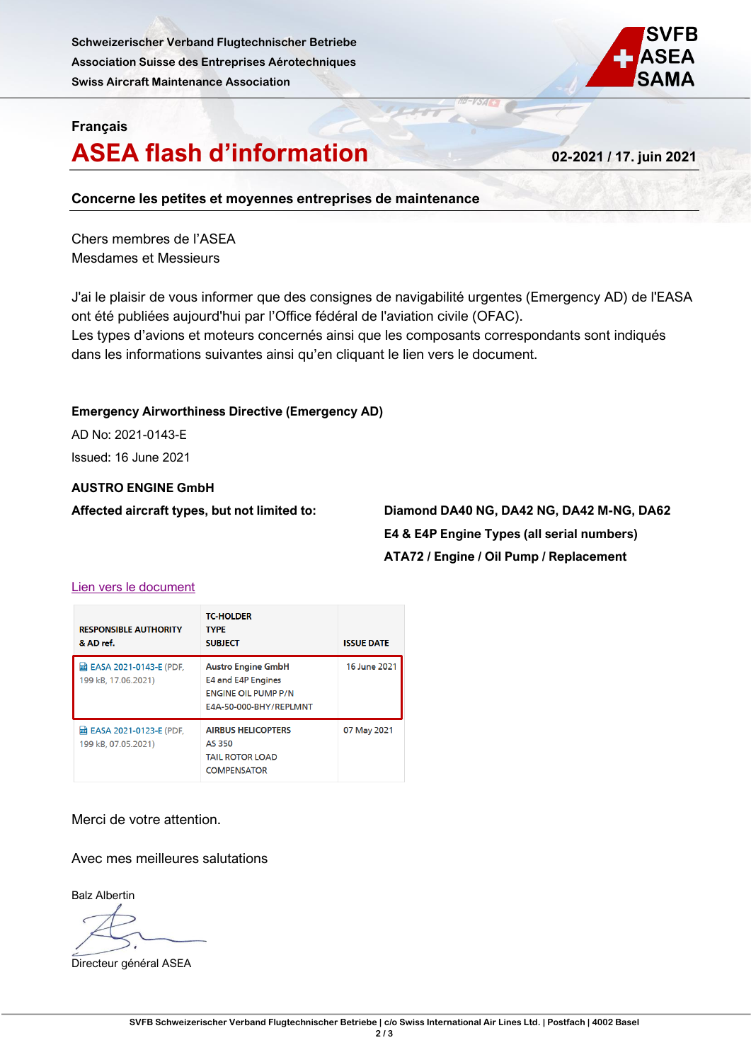**Schweizerischer Verband Flugtechnischer Betriebe Association Suisse des Entreprises Aérotechniques Swiss Aircraft Maintenance Association**



# **Français**

# **ASEA flash d'information 02-2021 / 17. juin 2021**

### **Concerne les petites et moyennes entreprises de maintenance**

Chers membres de l'ASEA Mesdames et Messieurs

J'ai le plaisir de vous informer que des consignes de navigabilité urgentes (Emergency AD) de l'EASA ont été publiées aujourd'hui par l'Office fédéral de l'aviation civile (OFAC). Les types d'avions et moteurs concernés ainsi que les composants correspondants sont indiqués dans les informations suivantes ainsi qu'en cliquant le lien vers le document.

# **Emergency Airworthiness Directive (Emergency AD)**

AD No: 2021-0143-E Issued: 16 June 2021

### **AUSTRO ENGINE GmbH**

**Affected aircraft types, but not limited to: Diamond DA40 NG, DA42 NG, DA42 M-NG, DA62 E4 & E4P Engine Types (all serial numbers) ATA72 / Engine / Oil Pump / Replacement**

### [Lien vers le document](https://www.bazl.admin.ch/bazl/fr/home/experts/aeronefs/consignes-de-navigabilite--cn-/emergency-airworthiness-directives--ead-.html)

| <b>RESPONSIBLE AUTHORITY</b><br>& AD ref.                | <b>TC-HOLDER</b><br><b>TYPE</b><br><b>SUBJECT</b>                                                              | <b>ISSUE DATE</b> |
|----------------------------------------------------------|----------------------------------------------------------------------------------------------------------------|-------------------|
| <b>团 EASA 2021-0143-E (PDF,</b><br>199 kB, 17.06.2021)   | <b>Austro Engine GmbH</b><br><b>E4 and E4P Engines</b><br><b>ENGINE OIL PUMP P/N</b><br>E4A-50-000-BHY/REPLMNT | 16 June 2021      |
| <b>lad EASA 2021-0123-E (PDF.</b><br>199 kB. 07.05.2021) | <b>AIRBUS HELICOPTERS</b><br>AS 350<br><b>TAIL ROTOR LOAD</b><br><b>COMPENSATOR</b>                            | 07 May 2021       |

Merci de votre attention.

Avec mes meilleures salutations

Balz Albertin

Directeur général ASEA